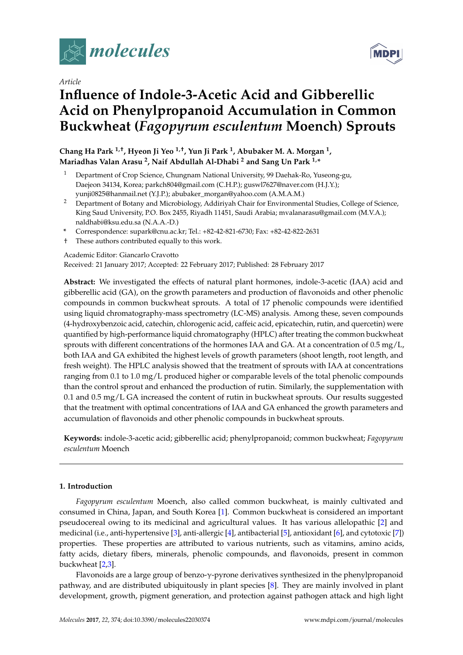

*Article*

# **Influence of Indole-3-Acetic Acid and Gibberellic Acid on Phenylpropanoid Accumulation in Common Buckwheat (***Fagopyrum esculentum* **Moench) Sprouts**

**Chang Ha Park 1,†, Hyeon Ji Yeo 1,†, Yun Ji Park <sup>1</sup> , Abubaker M. A. Morgan <sup>1</sup> , Mariadhas Valan Arasu <sup>2</sup> , Naif Abdullah Al-Dhabi <sup>2</sup> and Sang Un Park 1,\***

- <sup>1</sup> Department of Crop Science, Chungnam National University, 99 Daehak-Ro, Yuseong-gu, Daejeon 34134, Korea; parkch804@gmail.com (C.H.P.); guswl7627@naver.com (H.J.Y.); yunji0825@hanmail.net (Y.J.P.); abubaker\_morgan@yahoo.com (A.M.A.M.)
- <sup>2</sup> Department of Botany and Microbiology, Addiriyah Chair for Environmental Studies, College of Science, King Saud University, P.O. Box 2455, Riyadh 11451, Saudi Arabia; mvalanarasu@gmail.com (M.V.A.); naldhabi@ksu.edu.sa (N.A.A.-D.)
- **\*** Correspondence: supark@cnu.ac.kr; Tel.: +82-42-821-6730; Fax: +82-42-822-2631
- † These authors contributed equally to this work.

# Academic Editor: Giancarlo Cravotto

Received: 21 January 2017; Accepted: 22 February 2017; Published: 28 February 2017

**Abstract:** We investigated the effects of natural plant hormones, indole-3-acetic (IAA) acid and gibberellic acid (GA), on the growth parameters and production of flavonoids and other phenolic compounds in common buckwheat sprouts. A total of 17 phenolic compounds were identified using liquid chromatography-mass spectrometry (LC-MS) analysis. Among these, seven compounds (4-hydroxybenzoic acid, catechin, chlorogenic acid, caffeic acid, epicatechin, rutin, and quercetin) were quantified by high-performance liquid chromatography (HPLC) after treating the common buckwheat sprouts with different concentrations of the hormones IAA and GA. At a concentration of 0.5 mg/L, both IAA and GA exhibited the highest levels of growth parameters (shoot length, root length, and fresh weight). The HPLC analysis showed that the treatment of sprouts with IAA at concentrations ranging from 0.1 to 1.0 mg/L produced higher or comparable levels of the total phenolic compounds than the control sprout and enhanced the production of rutin. Similarly, the supplementation with 0.1 and 0.5 mg/L GA increased the content of rutin in buckwheat sprouts. Our results suggested that the treatment with optimal concentrations of IAA and GA enhanced the growth parameters and accumulation of flavonoids and other phenolic compounds in buckwheat sprouts.

**Keywords:** indole-3-acetic acid; gibberellic acid; phenylpropanoid; common buckwheat; *Fagopyrum esculentum* Moench

# **1. Introduction**

*Fagopyrum esculentum* Moench, also called common buckwheat, is mainly cultivated and consumed in China, Japan, and South Korea [\[1\]](#page-7-0). Common buckwheat is considered an important pseudocereal owing to its medicinal and agricultural values. It has various allelopathic [\[2\]](#page-7-1) and medicinal (i.e., anti-hypertensive [\[3\]](#page-7-2), anti-allergic [\[4\]](#page-7-3), antibacterial [\[5\]](#page-7-4), antioxidant [\[6\]](#page-7-5), and cytotoxic [\[7\]](#page-7-6)) properties. These properties are attributed to various nutrients, such as vitamins, amino acids, fatty acids, dietary fibers, minerals, phenolic compounds, and flavonoids, present in common buckwheat [\[2](#page-7-1)[,3\]](#page-7-2).

Flavonoids are a large group of benzo-γ-pyrone derivatives synthesized in the phenylpropanoid pathway, and are distributed ubiquitously in plant species [\[8\]](#page-7-7). They are mainly involved in plant development, growth, pigment generation, and protection against pathogen attack and high light

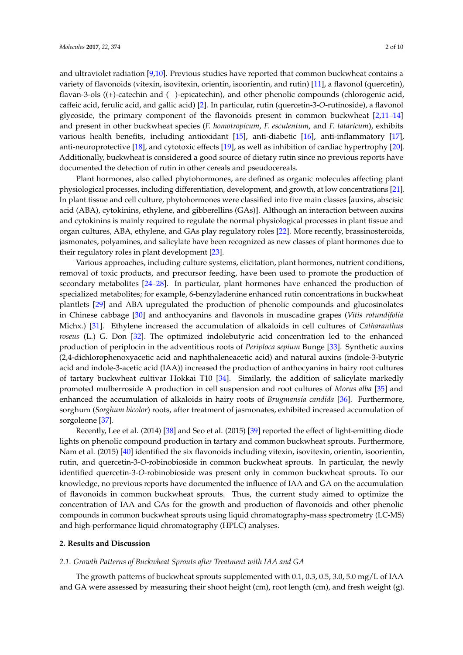and ultraviolet radiation [\[9,](#page-7-8)[10\]](#page-7-9). Previous studies have reported that common buckwheat contains a variety of flavonoids (vitexin, isovitexin, orientin, isoorientin, and rutin) [\[11\]](#page-7-10), a flavonol (quercetin), flavan-3-ols ((+)-catechin and (−)-epicatechin), and other phenolic compounds (chlorogenic acid, caffeic acid, ferulic acid, and gallic acid) [\[2\]](#page-7-1). In particular, rutin (quercetin-3-*O*-rutinoside), a flavonol glycoside, the primary component of the flavonoids present in common buckwheat [\[2](#page-7-1)[,11](#page-7-10)[–14\]](#page-7-11) and present in other buckwheat species (*F. homotropicum*, *F. esculentum*, and *F. tataricum*), exhibits various health benefits, including antioxidant [\[15\]](#page-7-12), anti-diabetic [\[16\]](#page-7-13), anti-inflammatory [\[17\]](#page-7-14), anti-neuroprotective [\[18\]](#page-7-15), and cytotoxic effects [\[19\]](#page-7-16), as well as inhibition of cardiac hypertrophy [\[20\]](#page-8-0). Additionally, buckwheat is considered a good source of dietary rutin since no previous reports have documented the detection of rutin in other cereals and pseudocereals.

Plant hormones, also called phytohormones, are defined as organic molecules affecting plant physiological processes, including differentiation, development, and growth, at low concentrations [\[21\]](#page-8-1). In plant tissue and cell culture, phytohormones were classified into five main classes [auxins, abscisic acid (ABA), cytokinins, ethylene, and gibberellins (GAs)]. Although an interaction between auxins and cytokinins is mainly required to regulate the normal physiological processes in plant tissue and organ cultures, ABA, ethylene, and GAs play regulatory roles [\[22\]](#page-8-2). More recently, brassinosteroids, jasmonates, polyamines, and salicylate have been recognized as new classes of plant hormones due to their regulatory roles in plant development [\[23\]](#page-8-3).

Various approaches, including culture systems, elicitation, plant hormones, nutrient conditions, removal of toxic products, and precursor feeding, have been used to promote the production of secondary metabolites [\[24–](#page-8-4)[28\]](#page-8-5). In particular, plant hormones have enhanced the production of specialized metabolites; for example, 6-benzyladenine enhanced rutin concentrations in buckwheat plantlets [\[29\]](#page-8-6) and ABA upregulated the production of phenolic compounds and glucosinolates in Chinese cabbage [\[30\]](#page-8-7) and anthocyanins and flavonols in muscadine grapes (*Vitis rotundifolia* Michx.) [\[31\]](#page-8-8). Ethylene increased the accumulation of alkaloids in cell cultures of *Catharanthus roseus* (L.) G. Don [\[32\]](#page-8-9). The optimized indolebutyric acid concentration led to the enhanced production of periplocin in the adventitious roots of *Periploca sepium* Bunge [\[33\]](#page-8-10). Synthetic auxins (2,4-dichlorophenoxyacetic acid and naphthaleneacetic acid) and natural auxins (indole-3-butyric acid and indole-3-acetic acid (IAA)) increased the production of anthocyanins in hairy root cultures of tartary buckwheat cultivar Hokkai T10 [\[34\]](#page-8-11). Similarly, the addition of salicylate markedly promoted mulberroside A production in cell suspension and root cultures of *Morus alba* [\[35\]](#page-8-12) and enhanced the accumulation of alkaloids in hairy roots of *Brugmansia candida* [\[36\]](#page-8-13). Furthermore, sorghum (*Sorghum bicolor*) roots, after treatment of jasmonates, exhibited increased accumulation of sorgoleone [\[37\]](#page-8-14).

Recently, Lee et al. (2014) [\[38\]](#page-8-15) and Seo et al. (2015) [\[39\]](#page-9-0) reported the effect of light-emitting diode lights on phenolic compound production in tartary and common buckwheat sprouts. Furthermore, Nam et al. (2015) [\[40\]](#page-9-1) identified the six flavonoids including vitexin, isovitexin, orientin, isoorientin, rutin, and quercetin-3-*O*-robinobioside in common buckwheat sprouts. In particular, the newly identified quercetin-3-*O*-robinobioside was present only in common buckwheat sprouts. To our knowledge, no previous reports have documented the influence of IAA and GA on the accumulation of flavonoids in common buckwheat sprouts. Thus, the current study aimed to optimize the concentration of IAA and GAs for the growth and production of flavonoids and other phenolic compounds in common buckwheat sprouts using liquid chromatography-mass spectrometry (LC-MS) and high-performance liquid chromatography (HPLC) analyses.

### **2. Results and Discussion**

## *2.1. Growth Patterns of Buckwheat Sprouts after Treatment with IAA and GA*

The growth patterns of buckwheat sprouts supplemented with 0.1, 0.3, 0.5, 3.0, 5.0 mg/L of IAA and GA were assessed by measuring their shoot height (cm), root length (cm), and fresh weight (g).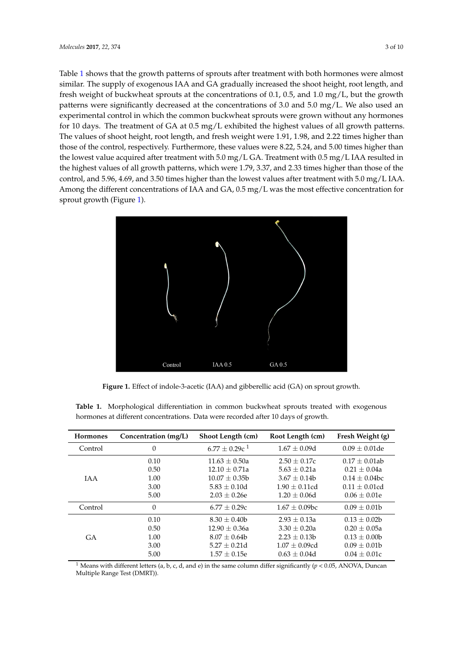Table [1](#page-2-0) shows that the growth patterns of sprouts after treatment with both hormones were almost similar. The supply of exogenous IAA and GA gradually increased the shoot height, root length, and fresh weight of buckwheat sprouts at the concentrations of 0.1, 0.5, and 1.0 mg/L, but the growth patterns were significantly decreased at the concentrations of 3.0 and 5.0 mg/L. We also used an experimental control in which the common buckwheat sprouts were grown without any hormones for 10 days. The treatment of GA at 0.5 mg/L exhibited the highest values of all growth patterns. The values of shoot height, root length, and fresh weight were 1.91, 1.98, and 2.22 times higher than those of the control, respectively. Furthermore, these values were 8.22, 5.24, and 5.00 times higher than than the lowest value acquired after treatment with 5.0 mg/L GA. Treatment with 0.5 mg/L IAA resulted in the highest values of all growth patterns, which were 1.79, 3.37, and 2.33 times higher than those of the control, and 5.96, 4.69, and 3.50 times higher than the lowest values after treatment with 5.0 mg/L IAA. Among the different concentrations of IAA and GA, 0.5 mg/L was the most effective concentration for sprout growth (Figure [1\)](#page-2-1).  $A = \frac{1}{2}$ 

<span id="page-2-1"></span>

**Figure 1.** Effect of indole-3-acetic (IAA) and gibberellic acid (GA) on sprout growth. **Figure 1.** Effect of indole-3-acetic (IAA) and gibberellic acid (GA) on sprout growth.

<span id="page-2-0"></span>**Table 1.** Morphological differentiation in common buckwheat sprouts treated with exogenous hormones at different concentrations. Data were recorded after 10 days of growth.

| <b>Hormones</b> | Concentration (mg/L) | Shoot Length (cm)           | Root Length (cm)   | Fresh Weight (g) |  |
|-----------------|----------------------|-----------------------------|--------------------|------------------|--|
| Control         | $\Omega$             | $6.77 + 0.29c$ <sup>1</sup> | $1.67 + 0.09d$     | $0.09 + 0.01$ de |  |
| <b>IAA</b>      | 0.10                 | $11.63 + 0.50a$             | $2.50 + 0.17c$     | $0.17 + 0.01ab$  |  |
|                 | 0.50                 | $12.10 + 0.71a$             | $5.63 \pm 0.21a$   | $0.21 \pm 0.04a$ |  |
|                 | 1.00                 | $10.07 + 0.35b$             | $3.67 + 0.14b$     | $0.14 + 0.04$ bc |  |
|                 | 3.00                 | $5.83 + 0.10d$              | $1.90 + 0.11cd$    | $0.11 + 0.01cd$  |  |
|                 | 5.00                 | $2.03 + 0.26e$              | $1.20 + 0.06d$     | $0.06 + 0.01e$   |  |
| Control         | $\Omega$             | $6.77 + 0.29c$              | $1.67 + 0.09$ bc   | $0.09 + 0.01b$   |  |
| GA              | 0.10                 | $8.30 + 0.40b$              | $2.93 + 0.13a$     | $0.13 + 0.02b$   |  |
|                 | 0.50                 | $12.90 + 0.36a$             | $3.30 + 0.20a$     | $0.20 + 0.05a$   |  |
|                 | 1.00                 | $8.07 + 0.64b$              | $2.23 + 0.13b$     | $0.13 \pm 0.00$  |  |
|                 | 3.00                 | $5.27 + 0.21d$              | $1.07 \pm 0.09$ cd | $0.09 \pm 0.01$  |  |
|                 | 5.00                 | $1.57 \pm 0.15e$            | $0.63 \pm 0.04d$   | $0.04 \pm 0.01c$ |  |

*2.2. LC-MS and HPLC Analysis of Common Buckwheat Sprouts after Treatment with IAA and GA*  Multiple Range Test (DMRT)).<sup>1</sup> Means with different letters (a, b, c, d, and e) in the same column differ significantly ( $p < 0.05$ , ANOVA, Duncan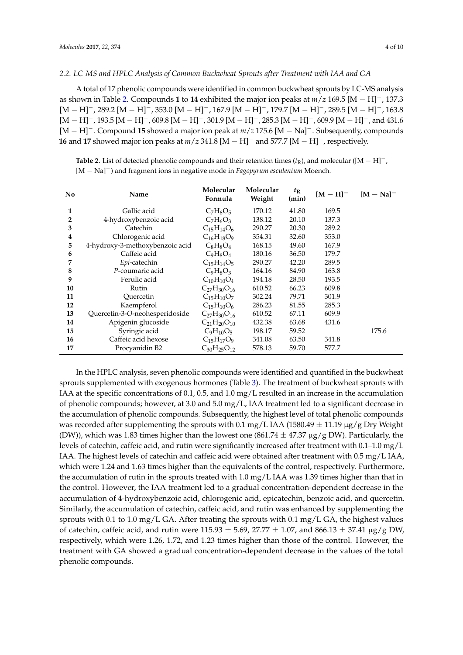#### *2.2. LC-MS and HPLC Analysis of Common Buckwheat Sprouts after Treatment with IAA and GA*

A total of 17 phenolic compounds were identified in common buckwheat sprouts by LC-MS analysis as shown in Table [2.](#page-3-0) Compounds **1** to **14** exhibited the major ion peaks at *m*/*z* 169.5 [M − H]−, 137.3 [M − H]−, 289.2 [M − H]−, 353.0 [M − H]−, 167.9 [M − H]−, 179.7 [M − H]−, 289.5 [M − H]−, 163.8 [M − H]−, 193.5 [M − H]−, 609.8 [M − H]−, 301.9 [M − H]−, 285.3 [M − H]−, 609.9 [M − H]−, and 431.6 [M − H]−. Compound **15** showed a major ion peak at *m*/*z* 175.6 [M − Na]−. Subsequently, compounds **16** and **17** showed major ion peaks at *m*/*z* 341.8 [M − H]<sup>−</sup> and 577.7 [M − H]−, respectively.

<span id="page-3-0"></span>**Table 2.** List of detected phenolic compounds and their retention times ( $t<sub>R</sub>$ ), and molecular ([M − H]<sup>-</sup>, [M − Na]−) and fragment ions in negative mode in *Fagopyrum esculentum* Moench.

| No | Name                            | Molecular<br>Formula | Molecular<br>Weight | $t_{\rm R}$<br>(min) | $[M-H]$ <sup>-</sup> | $[M - Na]$ <sup>-1</sup> |
|----|---------------------------------|----------------------|---------------------|----------------------|----------------------|--------------------------|
| 1  | Gallic acid                     | $C_7H_6O_5$          | 170.12              | 41.80                | 169.5                |                          |
| 2  | 4-hydroxybenzoic acid           | $C_7H_6O_3$          | 138.12              | 20.10                | 137.3                |                          |
| 3  | Catechin                        | $C_{15}H_{14}O_6$    | 290.27              | 20.30                | 289.2                |                          |
| 4  | Chlorogenic acid                | $C_{16}H_{18}O_9$    | 354.31              | 32.60                | 353.0                |                          |
| 5  | 4-hydroxy-3-methoxybenzoic acid | $C_8H_8O_4$          | 168.15              | 49.60                | 167.9                |                          |
| 6  | Caffeic acid                    | $C_9H_8O_4$          | 180.16              | 36.50                | 179.7                |                          |
| 7  | Epi-catechin                    | $C_{15}H_{14}O_5$    | 290.27              | 42.20                | 289.5                |                          |
| 8  | P-coumaric acid                 | $C_9H_8O_3$          | 164.16              | 84.90                | 163.8                |                          |
| 9  | Ferulic acid                    | $C_{10}H_{10}O_4$    | 194.18              | 28.50                | 193.5                |                          |
| 10 | Rutin                           | $C_{27}H_{30}O_{16}$ | 610.52              | 66.23                | 609.8                |                          |
| 11 | Ouercetin                       | $C_{15}H_{10}O_7$    | 302.24              | 79.71                | 301.9                |                          |
| 12 | Kaempferol                      | $C_{15}H_{10}O_6$    | 286.23              | 81.55                | 285.3                |                          |
| 13 | Quercetin-3-O-neohesperidoside  | $C_{27}H_{30}O_{16}$ | 610.52              | 67.11                | 609.9                |                          |
| 14 | Apigenin glucoside              | $C_{21}H_{20}O_{10}$ | 432.38              | 63.68                | 431.6                |                          |
| 15 | Syringic acid                   | $C_9H_{10}O_5$       | 198.17              | 59.52                |                      | 175.6                    |
| 16 | Caffeic acid hexose             | $C_{15}H_{17}O_9$    | 341.08              | 63.50                | 341.8                |                          |
| 17 | Procyanidin B2                  | $C_{30}H_{25}O_{12}$ | 578.13              | 59.70                | 577.7                |                          |

In the HPLC analysis, seven phenolic compounds were identified and quantified in the buckwheat sprouts supplemented with exogenous hormones (Table [3\)](#page-4-0). The treatment of buckwheat sprouts with IAA at the specific concentrations of 0.1, 0.5, and 1.0 mg/L resulted in an increase in the accumulation of phenolic compounds; however, at 3.0 and 5.0 mg/L, IAA treatment led to a significant decrease in the accumulation of phenolic compounds. Subsequently, the highest level of total phenolic compounds was recorded after supplementing the sprouts with 0.1 mg/L IAA (1580.49  $\pm$  11.19 µg/g Dry Weight (DW)), which was 1.83 times higher than the lowest one (861.74  $\pm$  47.37  $\mu$ g/g DW). Particularly, the levels of catechin, caffeic acid, and rutin were significantly increased after treatment with 0.1–1.0 mg/L IAA. The highest levels of catechin and caffeic acid were obtained after treatment with 0.5 mg/L IAA, which were 1.24 and 1.63 times higher than the equivalents of the control, respectively. Furthermore, the accumulation of rutin in the sprouts treated with 1.0 mg/L IAA was 1.39 times higher than that in the control. However, the IAA treatment led to a gradual concentration-dependent decrease in the accumulation of 4-hydroxybenzoic acid, chlorogenic acid, epicatechin, benzoic acid, and quercetin. Similarly, the accumulation of catechin, caffeic acid, and rutin was enhanced by supplementing the sprouts with 0.1 to 1.0 mg/L GA. After treating the sprouts with 0.1 mg/L GA, the highest values of catechin, caffeic acid, and rutin were  $115.93 \pm 5.69$ ,  $27.77 \pm 1.07$ , and  $866.13 \pm 37.41$  µg/g DW, respectively, which were 1.26, 1.72, and 1.23 times higher than those of the control. However, the treatment with GA showed a gradual concentration-dependent decrease in the values of the total phenolic compounds.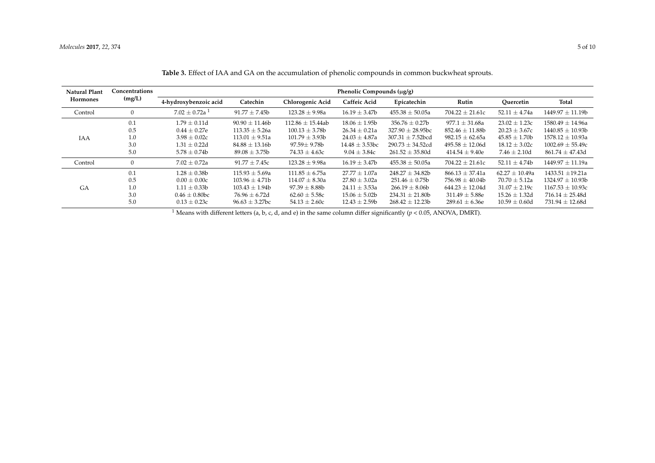| <b>Natural Plant</b> | Concentrations<br>(mg/L) | Phenolic Compounds (µg/g)     |                     |                      |                     |                       |                     |                    |                      |
|----------------------|--------------------------|-------------------------------|---------------------|----------------------|---------------------|-----------------------|---------------------|--------------------|----------------------|
| <b>Hormones</b>      |                          | 4-hydroxybenzoic acid         | Catechin            | Chlorogenic Acid     | Caffeic Acid        | Epicatechin           | Rutin               | Ouercetin          | Total                |
| Control              | $\Omega$                 | $7.02 \pm 0.72a$ <sup>1</sup> | $91.77 \pm 7.45b$   | $123.28 \pm 9.98a$   | $16.19 \pm 3.47b$   | $455.38 \pm 50.05a$   | $704.22 \pm 21.61c$ | 52.11 $\pm$ 4.74a  | $1449.97 \pm 11.19b$ |
| IAA                  | 0.1                      | $1.79\pm0.11\mathrm{d}$       | $90.90 \pm 11.46$   | $112.86 \pm 15.44ab$ | $18.06 \pm 1.95b$   | $356.76 \pm 0.27b$    | 977.1 $\pm$ 31.68a  | $23.02 \pm 1.23c$  | $1580.49 \pm 14.96a$ |
|                      | 0.5                      | $0.44 \pm 0.27$ e             | $113.35 \pm 5.26a$  | $100.13 \pm 3.78b$   | $26.34 \pm 0.21a$   | $327.90 \pm 28.95$ bc | $852.46 \pm 11.88b$ | $20.23 \pm 3.67c$  | $1440.85 \pm 10.93b$ |
|                      | 1.0                      | $3.98 \pm 0.02c$              | $113.01 \pm 9.51a$  | $101.79 \pm 3.93b$   | $24.03 \pm 4.87a$   | $307.31 \pm 7.52$ bcd | 982.15 $\pm$ 62.65a | $45.85 \pm 1.70b$  | $1578.12 \pm 10.93a$ |
|                      | 3.0                      | $1.31 \pm 0.22d$              | $84.88 \pm 13.16b$  | $97.59 \pm 9.78b$    | $14.48 \pm 3.53$ bc | $290.73 \pm 34.52$ cd | $495.58 \pm 12.06d$ | $18.12 \pm 3.02c$  | $1002.69 \pm 55.49c$ |
|                      | 5.0                      | $5.78 \pm 0.74b$              | $89.08 \pm 3.75b$   | $74.33 \pm 4.63c$    | $9.04 \pm 3.84c$    | $261.52 \pm 35.80d$   | $414.54 \pm 9.40e$  | $7.46 \pm 2.10d$   | $861.74 \pm 47.43d$  |
| Control              | $\overline{0}$           | $7.02 \pm 0.72a$              | $91.77 \pm 7.45c$   | $123.28 \pm 9.98a$   | $16.19 \pm 3.47b$   | $455.38 \pm 50.05a$   | $704.22 \pm 21.61c$ | $52.11 \pm 4.74b$  | $1449.97 \pm 11.19a$ |
| GA                   | 0.1                      | $1.28 \pm 0.38$ b             | $115.93 \pm 5.69a$  | $111.85 \pm 6.75a$   | $27.77 \pm 1.07a$   | $248.27 \pm 34.82b$   | $866.13 \pm 37.41a$ | $62.27 \pm 10.49a$ | 1433.51 $\pm$ 19.21a |
|                      | 0.5                      | $0.00 \pm 0.00c$              | $103.96 \pm 4.71b$  | $114.07 \pm 8.30a$   | $27.80 \pm 3.02a$   | $251.46 \pm 0.75b$    | $756.98 \pm 40.04b$ | $70.70 \pm 5.12a$  | $1324.97 \pm 10.93b$ |
|                      | 1.0                      | $1.11 \pm 0.33b$              | $103.43 \pm 1.94b$  | $97.39 \pm 8.88$ b   | $24.11 \pm 3.53a$   | $266.19 \pm 8.06b$    | $644.23 \pm 12.04d$ | $31.07 \pm 2.19c$  | $1167.53 \pm 10.93c$ |
|                      | 3.0                      | $0.46 \pm 0.80$ bc            | $76.96 \pm 6.72d$   | $62.60 \pm 5.58c$    | $15.06 \pm 5.02b$   | $234.31 \pm 21.80$    | $311.49 \pm 5.88$ e | $15.26 \pm 1.32d$  | $716.14 \pm 25.48d$  |
|                      | 5.0                      | $0.13 \pm 0.23c$              | $96.63 \pm 3.27$ bc | $54.13 \pm 2.60c$    | $12.43 \pm 2.59b$   | $268.42 \pm 12.23b$   | $289.61 \pm 6.36e$  | $10.59 \pm 0.60d$  | $731.94 \pm 12.68d$  |

**Table 3.** Effect of IAA and GA on the accumulation of phenolic compounds in common buckwheat sprouts.

<span id="page-4-0"></span><sup>1</sup> Means with different letters (a, b, c, d, and e) in the same column differ significantly ( $p$  < 0.05, ANOVA, DMRT).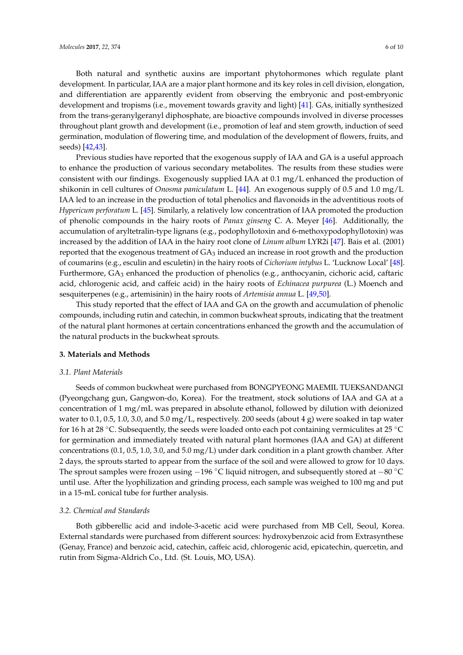Both natural and synthetic auxins are important phytohormones which regulate plant development. In particular, IAA are a major plant hormone and its key roles in cell division, elongation, and differentiation are apparently evident from observing the embryonic and post-embryonic development and tropisms (i.e., movement towards gravity and light) [\[41\]](#page-9-2). GAs, initially synthesized from the trans-geranylgeranyl diphosphate, are bioactive compounds involved in diverse processes throughout plant growth and development (i.e., promotion of leaf and stem growth, induction of seed germination, modulation of flowering time, and modulation of the development of flowers, fruits, and seeds) [\[42,](#page-9-3)[43\]](#page-9-4).

Previous studies have reported that the exogenous supply of IAA and GA is a useful approach to enhance the production of various secondary metabolites. The results from these studies were consistent with our findings. Exogenously supplied IAA at 0.1 mg/L enhanced the production of shikonin in cell cultures of *Onosma paniculatum* L. [\[44\]](#page-9-5). An exogenous supply of 0.5 and 1.0 mg/L IAA led to an increase in the production of total phenolics and flavonoids in the adventitious roots of *Hypericum perforatum* L. [\[45\]](#page-9-6). Similarly, a relatively low concentration of IAA promoted the production of phenolic compounds in the hairy roots of *Panax ginseng* C. A. Meyer [\[46\]](#page-9-7). Additionally, the accumulation of aryltetralin-type lignans (e.g., podophyllotoxin and 6-methoxypodophyllotoxin) was increased by the addition of IAA in the hairy root clone of *Linum album* LYR2i [\[47\]](#page-9-8). Bais et al. (2001) reported that the exogenous treatment of  $GA_3$  induced an increase in root growth and the production of coumarins (e.g., esculin and esculetin) in the hairy roots of *Cichorium intybus* L. 'Lucknow Local' [\[48\]](#page-9-9). Furthermore, GA<sub>3</sub> enhanced the production of phenolics (e.g., anthocyanin, cichoric acid, caftaric acid, chlorogenic acid, and caffeic acid) in the hairy roots of *Echinacea purpurea* (L.) Moench and sesquiterpenes (e.g., artemisinin) in the hairy roots of *Artemisia annua* L. [\[49,](#page-9-10)[50\]](#page-9-11).

This study reported that the effect of IAA and GA on the growth and accumulation of phenolic compounds, including rutin and catechin, in common buckwheat sprouts, indicating that the treatment of the natural plant hormones at certain concentrations enhanced the growth and the accumulation of the natural products in the buckwheat sprouts.

# **3. Materials and Methods**

# *3.1. Plant Materials*

Seeds of common buckwheat were purchased from BONGPYEONG MAEMIL TUEKSANDANGI (Pyeongchang gun, Gangwon-do, Korea). For the treatment, stock solutions of IAA and GA at a concentration of 1 mg/mL was prepared in absolute ethanol, followed by dilution with deionized water to 0.1, 0.5, 1.0, 3.0, and 5.0 mg/L, respectively. 200 seeds (about 4 g) were soaked in tap water for 16 h at 28  $\degree$ C. Subsequently, the seeds were loaded onto each pot containing vermiculites at 25  $\degree$ C for germination and immediately treated with natural plant hormones (IAA and GA) at different concentrations (0.1, 0.5, 1.0, 3.0, and 5.0 mg/L) under dark condition in a plant growth chamber. After 2 days, the sprouts started to appear from the surface of the soil and were allowed to grow for 10 days. The sprout samples were frozen using −196 °C liquid nitrogen, and subsequently stored at −80 °C until use. After the lyophilization and grinding process, each sample was weighed to 100 mg and put in a 15-mL conical tube for further analysis.

# *3.2. Chemical and Standards*

Both gibberellic acid and indole-3-acetic acid were purchased from MB Cell, Seoul, Korea. External standards were purchased from different sources: hydroxybenzoic acid from Extrasynthese (Genay, France) and benzoic acid, catechin, caffeic acid, chlorogenic acid, epicatechin, quercetin, and rutin from Sigma-Aldrich Co., Ltd. (St. Louis, MO, USA).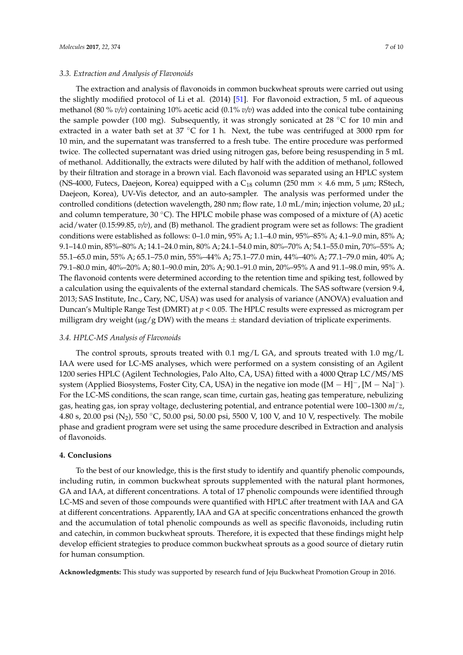#### *3.3. Extraction and Analysis of Flavonoids*

The extraction and analysis of flavonoids in common buckwheat sprouts were carried out using the slightly modified protocol of Li et al. (2014) [\[51\]](#page-9-12). For flavonoid extraction, 5 mL of aqueous methanol (80 % *v/v*) containing 10% acetic acid (0.1% *v/v*) was added into the conical tube containing the sample powder (100 mg). Subsequently, it was strongly sonicated at 28 °C for 10 min and extracted in a water bath set at 37 ℃ for 1 h. Next, the tube was centrifuged at 3000 rpm for 10 min, and the supernatant was transferred to a fresh tube. The entire procedure was performed twice. The collected supernatant was dried using nitrogen gas, before being resuspending in 5 mL of methanol. Additionally, the extracts were diluted by half with the addition of methanol, followed by their filtration and storage in a brown vial. Each flavonoid was separated using an HPLC system (NS-4000, Futecs, Daejeon, Korea) equipped with a  $C_{18}$  column (250 mm  $\times$  4.6 mm, 5 µm; RStech, Daejeon, Korea), UV-Vis detector, and an auto-sampler. The analysis was performed under the controlled conditions (detection wavelength, 280 nm; flow rate, 1.0 mL/min; injection volume, 20  $\mu$ L; and column temperature,  $30\degree C$ ). The HPLC mobile phase was composed of a mixture of (A) acetic acid/water (0.15:99.85, *v/v*), and (B) methanol. The gradient program were set as follows: The gradient conditions were established as follows: 0–1.0 min, 95% A; 1.1–4.0 min, 95%–85% A; 4.1–9.0 min, 85% A; 9.1–14.0 min, 85%–80% A; 14.1–24.0 min, 80% A; 24.1–54.0 min, 80%–70% A; 54.1–55.0 min, 70%–55% A; 55.1–65.0 min, 55% A; 65.1–75.0 min, 55%–44% A; 75.1–77.0 min, 44%–40% A; 77.1–79.0 min, 40% A; 79.1–80.0 min, 40%–20% A; 80.1–90.0 min, 20% A; 90.1–91.0 min, 20%–95% A and 91.1–98.0 min, 95% A. The flavonoid contents were determined according to the retention time and spiking test, followed by a calculation using the equivalents of the external standard chemicals. The SAS software (version 9.4, 2013; SAS Institute, Inc., Cary, NC, USA) was used for analysis of variance (ANOVA) evaluation and Duncan's Multiple Range Test (DMRT) at *p* < 0.05. The HPLC results were expressed as microgram per milligram dry weight ( $\mu$ g/g DW) with the means  $\pm$  standard deviation of triplicate experiments.

### *3.4. HPLC-MS Analysis of Flavonoids*

The control sprouts, sprouts treated with 0.1 mg/L GA, and sprouts treated with 1.0 mg/L IAA were used for LC-MS analyses, which were performed on a system consisting of an Agilent 1200 series HPLC (Agilent Technologies, Palo Alto, CA, USA) fitted with a 4000 Qtrap LC/MS/MS system (Applied Biosystems, Foster City, CA, USA) in the negative ion mode ( $[M - H]^-$ ,  $[M - Na]^-$ ). For the LC-MS conditions, the scan range, scan time, curtain gas, heating gas temperature, nebulizing gas, heating gas, ion spray voltage, declustering potential, and entrance potential were 100–1300 *m*/*z*, 4.80 s, 20.00 psi (N<sub>2</sub>), 550 °C, 50.00 psi, 50.00 psi, 5500 V, 100 V, and 10 V, respectively. The mobile phase and gradient program were set using the same procedure described in Extraction and analysis of flavonoids.

#### **4. Conclusions**

To the best of our knowledge, this is the first study to identify and quantify phenolic compounds, including rutin, in common buckwheat sprouts supplemented with the natural plant hormones, GA and IAA, at different concentrations. A total of 17 phenolic compounds were identified through LC-MS and seven of those compounds were quantified with HPLC after treatment with IAA and GA at different concentrations. Apparently, IAA and GA at specific concentrations enhanced the growth and the accumulation of total phenolic compounds as well as specific flavonoids, including rutin and catechin, in common buckwheat sprouts. Therefore, it is expected that these findings might help develop efficient strategies to produce common buckwheat sprouts as a good source of dietary rutin for human consumption.

**Acknowledgments:** This study was supported by research fund of Jeju Buckwheat Promotion Group in 2016.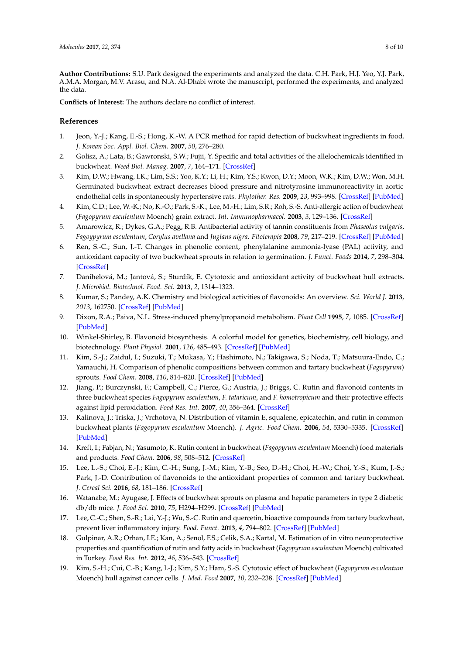**Author Contributions:** S.U. Park designed the experiments and analyzed the data. C.H. Park, H.J. Yeo, Y.J. Park, A.M.A. Morgan, M.V. Arasu, and N.A. Al-Dhabi wrote the manuscript, performed the experiments, and analyzed the data.

**Conflicts of Interest:** The authors declare no conflict of interest.

# **References**

- <span id="page-7-0"></span>1. Jeon, Y.-J.; Kang, E.-S.; Hong, K.-W. A PCR method for rapid detection of buckwheat ingredients in food. *J. Korean Soc. Appl. Biol. Chem.* **2007**, *50*, 276–280.
- <span id="page-7-1"></span>2. Golisz, A.; Lata, B.; Gawronski, S.W.; Fujii, Y. Specific and total activities of the allelochemicals identified in buckwheat. *Weed Biol. Manag.* **2007**, *7*, 164–171. [\[CrossRef\]](http://dx.doi.org/10.1111/j.1445-6664.2007.00252.x)
- <span id="page-7-2"></span>3. Kim, D.W.; Hwang, I.K.; Lim, S.S.; Yoo, K.Y.; Li, H.; Kim, Y.S.; Kwon, D.Y.; Moon, W.K.; Kim, D.W.; Won, M.H. Germinated buckwheat extract decreases blood pressure and nitrotyrosine immunoreactivity in aortic endothelial cells in spontaneously hypertensive rats. *Phytother. Res.* **2009**, *23*, 993–998. [\[CrossRef\]](http://dx.doi.org/10.1002/ptr.2739) [\[PubMed\]](http://www.ncbi.nlm.nih.gov/pubmed/19140152)
- <span id="page-7-3"></span>4. Kim, C.D.; Lee, W.-K.; No, K.-O.; Park, S.-K.; Lee, M.-H.; Lim, S.R.; Roh, S.-S. Anti-allergic action of buckwheat (*Fagopyrum esculentum* Moench) grain extract. *Int. Immunopharmacol.* **2003**, *3*, 129–136. [\[CrossRef\]](http://dx.doi.org/10.1016/S1567-5769(02)00261-8)
- <span id="page-7-4"></span>5. Amarowicz, R.; Dykes, G.A.; Pegg, R.B. Antibacterial activity of tannin constituents from *Phaseolus vulgaris*, *Fagoypyrum esculentum*, *Corylus avellana* and *Juglans nigra*. *Fitoterapia* **2008**, *79*, 217–219. [\[CrossRef\]](http://dx.doi.org/10.1016/j.fitote.2007.11.019) [\[PubMed\]](http://www.ncbi.nlm.nih.gov/pubmed/18325686)
- <span id="page-7-5"></span>6. Ren, S.-C.; Sun, J.-T. Changes in phenolic content, phenylalanine ammonia-lyase (PAL) activity, and antioxidant capacity of two buckwheat sprouts in relation to germination. *J. Funct. Foods* **2014**, *7*, 298–304. [\[CrossRef\]](http://dx.doi.org/10.1016/j.jff.2014.01.031)
- <span id="page-7-6"></span>7. Danihelová, M.; Jantová, S.; Sturdík, E. Cytotoxic and antioxidant activity of buckwheat hull extracts. *J. Microbiol. Biotechnol. Food. Sci.* **2013**, *2*, 1314–1323.
- <span id="page-7-7"></span>8. Kumar, S.; Pandey, A.K. Chemistry and biological activities of flavonoids: An overview. *Sci. World J.* **2013**, *2013*, 162750. [\[CrossRef\]](http://dx.doi.org/10.1155/2013/162750) [\[PubMed\]](http://www.ncbi.nlm.nih.gov/pubmed/24470791)
- <span id="page-7-8"></span>9. Dixon, R.A.; Paiva, N.L. Stress-induced phenylpropanoid metabolism. *Plant Cell* **1995**, *7*, 1085. [\[CrossRef\]](http://dx.doi.org/10.1105/tpc.7.7.1085) [\[PubMed\]](http://www.ncbi.nlm.nih.gov/pubmed/12242399)
- <span id="page-7-9"></span>10. Winkel-Shirley, B. Flavonoid biosynthesis. A colorful model for genetics, biochemistry, cell biology, and biotechnology. *Plant Physiol.* **2001**, *126*, 485–493. [\[CrossRef\]](http://dx.doi.org/10.1104/pp.126.2.485) [\[PubMed\]](http://www.ncbi.nlm.nih.gov/pubmed/11402179)
- <span id="page-7-10"></span>11. Kim, S.-J.; Zaidul, I.; Suzuki, T.; Mukasa, Y.; Hashimoto, N.; Takigawa, S.; Noda, T.; Matsuura-Endo, C.; Yamauchi, H. Comparison of phenolic compositions between common and tartary buckwheat (*Fagopyrum*) sprouts. *Food Chem.* **2008**, *110*, 814–820. [\[CrossRef\]](http://dx.doi.org/10.1016/j.foodchem.2008.02.050) [\[PubMed\]](http://www.ncbi.nlm.nih.gov/pubmed/26047265)
- 12. Jiang, P.; Burczynski, F.; Campbell, C.; Pierce, G.; Austria, J.; Briggs, C. Rutin and flavonoid contents in three buckwheat species *Fagopyrum esculentum*, *F. tataricum*, and *F. homotropicum* and their protective effects against lipid peroxidation. *Food Res. Int.* **2007**, *40*, 356–364. [\[CrossRef\]](http://dx.doi.org/10.1016/j.foodres.2006.10.009)
- 13. Kalinova, J.; Triska, J.; Vrchotova, N. Distribution of vitamin E, squalene, epicatechin, and rutin in common buckwheat plants (*Fagopyrum esculentum* Moench). *J. Agric. Food Chem.* **2006**, *54*, 5330–5335. [\[CrossRef\]](http://dx.doi.org/10.1021/jf060521r) [\[PubMed\]](http://www.ncbi.nlm.nih.gov/pubmed/16848513)
- <span id="page-7-11"></span>14. Kreft, I.; Fabjan, N.; Yasumoto, K. Rutin content in buckwheat (*Fagopyrum esculentum* Moench) food materials and products. *Food Chem.* **2006**, *98*, 508–512. [\[CrossRef\]](http://dx.doi.org/10.1016/j.foodchem.2005.05.081)
- <span id="page-7-12"></span>15. Lee, L.-S.; Choi, E.-J.; Kim, C.-H.; Sung, J.-M.; Kim, Y.-B.; Seo, D.-H.; Choi, H.-W.; Choi, Y.-S.; Kum, J.-S.; Park, J.-D. Contribution of flavonoids to the antioxidant properties of common and tartary buckwheat. *J. Cereal Sci.* **2016**, *68*, 181–186. [\[CrossRef\]](http://dx.doi.org/10.1016/j.jcs.2015.07.005)
- <span id="page-7-13"></span>16. Watanabe, M.; Ayugase, J. Effects of buckwheat sprouts on plasma and hepatic parameters in type 2 diabetic db/db mice. *J. Food Sci.* **2010**, *75*, H294–H299. [\[CrossRef\]](http://dx.doi.org/10.1111/j.1750-3841.2010.01853.x) [\[PubMed\]](http://www.ncbi.nlm.nih.gov/pubmed/21535603)
- <span id="page-7-14"></span>17. Lee, C.-C.; Shen, S.-R.; Lai, Y.-J.; Wu, S.-C. Rutin and quercetin, bioactive compounds from tartary buckwheat, prevent liver inflammatory injury. *Food. Funct.* **2013**, *4*, 794–802. [\[CrossRef\]](http://dx.doi.org/10.1039/c3fo30389f) [\[PubMed\]](http://www.ncbi.nlm.nih.gov/pubmed/23584161)
- <span id="page-7-15"></span>18. Gulpinar, A.R.; Orhan, I.E.; Kan, A.; Senol, F.S.; Celik, S.A.; Kartal, M. Estimation of in vitro neuroprotective properties and quantification of rutin and fatty acids in buckwheat (*Fagopyrum esculentum* Moench) cultivated in Turkey. *Food Res. Int.* **2012**, *46*, 536–543. [\[CrossRef\]](http://dx.doi.org/10.1016/j.foodres.2011.08.011)
- <span id="page-7-16"></span>19. Kim, S.-H.; Cui, C.-B.; Kang, I.-J.; Kim, S.Y.; Ham, S.-S. Cytotoxic effect of buckwheat (*Fagopyrum esculentum* Moench) hull against cancer cells. *J. Med. Food* **2007**, *10*, 232–238. [\[CrossRef\]](http://dx.doi.org/10.1089/jmf.2006.1089) [\[PubMed\]](http://www.ncbi.nlm.nih.gov/pubmed/17651057)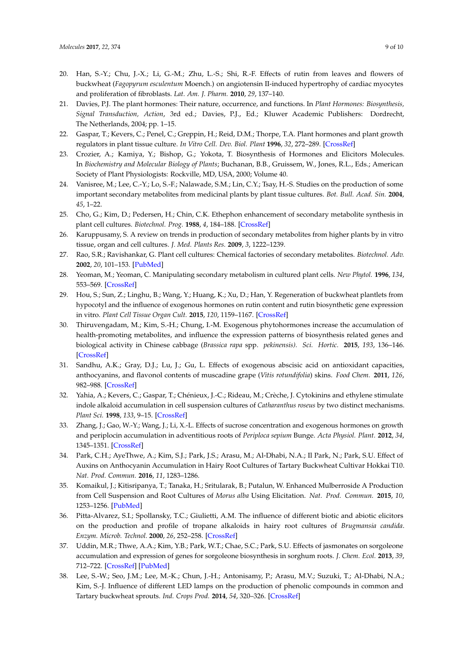- <span id="page-8-0"></span>20. Han, S.-Y.; Chu, J.-X.; Li, G.-M.; Zhu, L.-S.; Shi, R.-F. Effects of rutin from leaves and flowers of buckwheat (*Fagopyrum esculentum* Moench.) on angiotensin II-induced hypertrophy of cardiac myocytes and proliferation of fibroblasts. *Lat. Am. J. Pharm.* **2010**, *29*, 137–140.
- <span id="page-8-1"></span>21. Davies, P.J. The plant hormones: Their nature, occurrence, and functions. In *Plant Hormones: Biosynthesis, Signal Transduction, Action*, 3rd ed.; Davies, P.J., Ed.; Kluwer Academic Publishers: Dordrecht, The Netherlands, 2004; pp. 1–15.
- <span id="page-8-2"></span>22. Gaspar, T.; Kevers, C.; Penel, C.; Greppin, H.; Reid, D.M.; Thorpe, T.A. Plant hormones and plant growth regulators in plant tissue culture. *In Vitro Cell. Dev. Biol. Plant* **1996**, *32*, 272–289. [\[CrossRef\]](http://dx.doi.org/10.1007/BF02822700)
- <span id="page-8-3"></span>23. Crozier, A.; Kamiya, Y.; Bishop, G.; Yokota, T. Biosynthesis of Hormones and Elicitors Molecules. In *Biochemistry and Molecular Biology of Plants*; Buchanan, B.B., Gruissem, W., Jones, R.L., Eds.; American Society of Plant Physiologists: Rockville, MD, USA, 2000; Volume 40.
- <span id="page-8-4"></span>24. Vanisree, M.; Lee, C.-Y.; Lo, S.-F.; Nalawade, S.M.; Lin, C.Y.; Tsay, H.-S. Studies on the production of some important secondary metabolites from medicinal plants by plant tissue cultures. *Bot. Bull. Acad. Sin.* **2004**, *45*, 1–22.
- 25. Cho, G.; Kim, D.; Pedersen, H.; Chin, C.K. Ethephon enhancement of secondary metabolite synthesis in plant cell cultures. *Biotechnol. Prog.* **1988**, *4*, 184–188. [\[CrossRef\]](http://dx.doi.org/10.1002/btpr.5420040309)
- 26. Karuppusamy, S. A review on trends in production of secondary metabolites from higher plants by in vitro tissue, organ and cell cultures. *J. Med. Plants Res.* **2009**, *3*, 1222–1239.
- 27. Rao, S.R.; Ravishankar, G. Plant cell cultures: Chemical factories of secondary metabolites. *Biotechnol. Adv.* **2002**, *20*, 101–153. [\[PubMed\]](http://www.ncbi.nlm.nih.gov/pubmed/14538059)
- <span id="page-8-5"></span>28. Yeoman, M.; Yeoman, C. Manipulating secondary metabolism in cultured plant cells. *New Phytol.* **1996**, *134*, 553–569. [\[CrossRef\]](http://dx.doi.org/10.1111/j.1469-8137.1996.tb04921.x)
- <span id="page-8-6"></span>29. Hou, S.; Sun, Z.; Linghu, B.; Wang, Y.; Huang, K.; Xu, D.; Han, Y. Regeneration of buckwheat plantlets from hypocotyl and the influence of exogenous hormones on rutin content and rutin biosynthetic gene expression in vitro. *Plant Cell Tissue Organ Cult.* **2015**, *120*, 1159–1167. [\[CrossRef\]](http://dx.doi.org/10.1007/s11240-014-0671-5)
- <span id="page-8-7"></span>30. Thiruvengadam, M.; Kim, S.-H.; Chung, I.-M. Exogenous phytohormones increase the accumulation of health-promoting metabolites, and influence the expression patterns of biosynthesis related genes and biological activity in Chinese cabbage (*Brassica rapa* spp. *pekinensis). Sci. Hortic.* **2015**, *193*, 136–146. [\[CrossRef\]](http://dx.doi.org/10.1016/j.scienta.2015.07.007)
- <span id="page-8-8"></span>31. Sandhu, A.K.; Gray, D.J.; Lu, J.; Gu, L. Effects of exogenous abscisic acid on antioxidant capacities, anthocyanins, and flavonol contents of muscadine grape (*Vitis rotundifolia*) skins. *Food Chem.* **2011**, *126*, 982–988. [\[CrossRef\]](http://dx.doi.org/10.1016/j.foodchem.2010.11.105)
- <span id="page-8-9"></span>32. Yahia, A.; Kevers, C.; Gaspar, T.; Chénieux, J.-C.; Rideau, M.; Crèche, J. Cytokinins and ethylene stimulate indole alkaloid accumulation in cell suspension cultures of *Catharanthus roseus* by two distinct mechanisms. *Plant Sci.* **1998**, *133*, 9–15. [\[CrossRef\]](http://dx.doi.org/10.1016/S0168-9452(98)00014-4)
- <span id="page-8-10"></span>33. Zhang, J.; Gao, W.-Y.; Wang, J.; Li, X.-L. Effects of sucrose concentration and exogenous hormones on growth and periplocin accumulation in adventitious roots of *Periploca sepium* Bunge. *Acta Physiol. Plant.* **2012**, *34*, 1345–1351. [\[CrossRef\]](http://dx.doi.org/10.1007/s11738-012-0931-0)
- <span id="page-8-11"></span>34. Park, C.H.; AyeThwe, A.; Kim, S.J.; Park, J.S.; Arasu, M.; Al-Dhabi, N.A.; Il Park, N.; Park, S.U. Effect of Auxins on Anthocyanin Accumulation in Hairy Root Cultures of Tartary Buckwheat Cultivar Hokkai T10. *Nat. Prod. Commun.* **2016**, *11*, 1283–1286.
- <span id="page-8-12"></span>35. Komaikul, J.; Kitisripanya, T.; Tanaka, H.; Sritularak, B.; Putalun, W. Enhanced Mulberroside A Production from Cell Suspension and Root Cultures of *Morus alba* Using Elicitation. *Nat. Prod. Commun.* **2015**, *10*, 1253–1256. [\[PubMed\]](http://www.ncbi.nlm.nih.gov/pubmed/26411024)
- <span id="page-8-13"></span>36. Pitta-Alvarez, S.I.; Spollansky, T.C.; Giulietti, A.M. The influence of different biotic and abiotic elicitors on the production and profile of tropane alkaloids in hairy root cultures of *Brugmansia candida*. *Enzym. Microb. Technol.* **2000**, *26*, 252–258. [\[CrossRef\]](http://dx.doi.org/10.1016/S0141-0229(99)00137-4)
- <span id="page-8-14"></span>37. Uddin, M.R.; Thwe, A.A.; Kim, Y.B.; Park, W.T.; Chae, S.C.; Park, S.U. Effects of jasmonates on sorgoleone accumulation and expression of genes for sorgoleone biosynthesis in sorghum roots. *J. Chem. Ecol.* **2013**, *39*, 712–722. [\[CrossRef\]](http://dx.doi.org/10.1007/s10886-013-0299-7) [\[PubMed\]](http://www.ncbi.nlm.nih.gov/pubmed/23702703)
- <span id="page-8-15"></span>38. Lee, S.-W.; Seo, J.M.; Lee, M.-K.; Chun, J.-H.; Antonisamy, P.; Arasu, M.V.; Suzuki, T.; Al-Dhabi, N.A.; Kim, S.-J. Influence of different LED lamps on the production of phenolic compounds in common and Tartary buckwheat sprouts. *Ind. Crops Prod.* **2014**, *54*, 320–326. [\[CrossRef\]](http://dx.doi.org/10.1016/j.indcrop.2014.01.024)